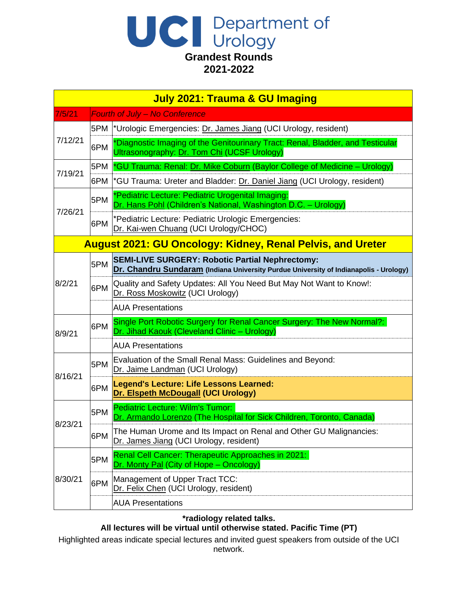# UC Department of **Grandest Rounds 2021-2022**

| <b>July 2021: Trauma &amp; GU Imaging</b>                         |     |                                                                                                                                                 |
|-------------------------------------------------------------------|-----|-------------------------------------------------------------------------------------------------------------------------------------------------|
| 7/5/21                                                            |     | <b>Fourth of July - No Conference</b>                                                                                                           |
| 7/12/21                                                           | 5PM | *Urologic Emergencies: Dr. James Jiang (UCI Urology, resident)                                                                                  |
|                                                                   | 6PM | *Diagnostic Imaging of the Genitourinary Tract: Renal, Bladder, and Testicular<br>Ultrasonography: Dr. Tom Chi (UCSF Urology)                   |
| 7/19/21                                                           | 5PM | *GU Trauma: Renal: Dr. Mike Coburn (Baylor College of Medicine – Urology)                                                                       |
|                                                                   |     | 6PM  *GU Trauma: Ureter and Bladder: Dr. Daniel Jiang (UCI Urology, resident)                                                                   |
| 7/26/21                                                           | 5PM | *Pediatric Lecture: Pediatric Urogenital Imaging:<br>Dr. Hans Pohl (Children's National, Washington D.C. - Urology)                             |
|                                                                   | 6PM | *Pediatric Lecture: Pediatric Urologic Emergencies:<br>Dr. Kai-wen Chuang (UCI Urology/CHOC)                                                    |
| <b>August 2021: GU Oncology: Kidney, Renal Pelvis, and Ureter</b> |     |                                                                                                                                                 |
|                                                                   | 5PM | <b>SEMI-LIVE SURGERY: Robotic Partial Nephrectomy:</b><br>Dr. Chandru Sundaram (Indiana University Purdue University of Indianapolis - Urology) |
| 8/2/21                                                            | 6PM | Quality and Safety Updates: All You Need But May Not Want to Know!:<br>Dr. Ross Moskowitz (UCI Urology)                                         |
|                                                                   |     | <b>AUA Presentations</b>                                                                                                                        |
| 8/9/21                                                            | 6PM | Single Port Robotic Surgery for Renal Cancer Surgery: The New Normal?:<br>Dr. Jihad Kaouk (Cleveland Clinic - Urology)                          |
|                                                                   |     | <b>AUA Presentations</b>                                                                                                                        |
| 8/16/21                                                           | 5PM | Evaluation of the Small Renal Mass: Guidelines and Beyond:<br>Dr. Jaime Landman (UCI Urology)                                                   |
|                                                                   | 6PM | <b>Legend's Lecture: Life Lessons Learned:</b><br>Dr. Elspeth McDougall (UCI Urology)                                                           |
|                                                                   | 5PM | Pediatric Lecture: Wilm's Tumor:<br>Dr. Armando Lorenzo (The Hospital for Sick Children, Toronto, Canada)                                       |
| 8/23/21                                                           | 6PM | The Human Urome and Its Impact on Renal and Other GU Malignancies:<br>Dr. James Jiang (UCI Urology, resident)                                   |
| 8/30/21                                                           | 5PM | Renal Cell Cancer: Therapeutic Approaches in 2021:<br>Dr. Monty Pal (City of Hope – Oncology)                                                   |
|                                                                   | 6PM | Management of Upper Tract TCC:<br>Dr. Felix Chen (UCI Urology, resident)                                                                        |
|                                                                   |     | <b>AUA Presentations</b>                                                                                                                        |

### **\*radiology related talks.**

### **All lectures will be virtual until otherwise stated. Pacific Time (PT)**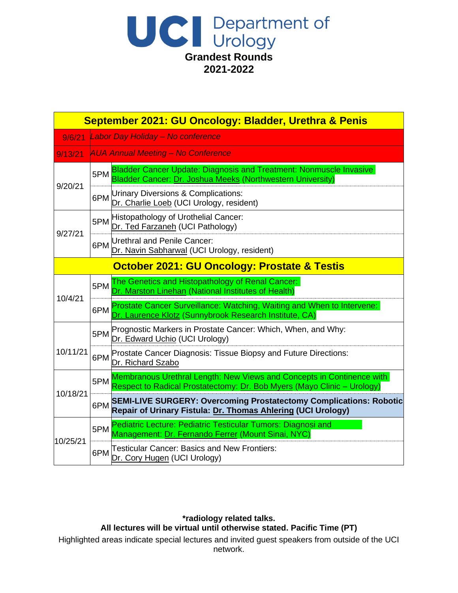

| September 2021: GU Oncology: Bladder, Urethra & Penis   |     |                                                                                                                                                  |
|---------------------------------------------------------|-----|--------------------------------------------------------------------------------------------------------------------------------------------------|
| 9/6/21                                                  |     | Labor Day Holiday - No conference                                                                                                                |
| 9/13/21                                                 |     | <b>AUA Annual Meeting - No Conference</b>                                                                                                        |
| 9/20/21                                                 | 5PM | Bladder Cancer Update: Diagnosis and Treatment: Nonmuscle Invasive<br>Bladder Cancer: Dr. Joshua Meeks (Northwestern University)                 |
|                                                         | 6PM | Urinary Diversions & Complications:<br>Dr. Charlie Loeb (UCI Urology, resident)                                                                  |
|                                                         | 5PM | Histopathology of Urothelial Cancer:<br>Dr. Ted Farzaneh (UCI Pathology)                                                                         |
| 9/27/21                                                 | 6PM | Urethral and Penile Cancer:<br>Dr. Navin Sabharwal (UCI Urology, resident)                                                                       |
| <b>October 2021: GU Oncology: Prostate &amp; Testis</b> |     |                                                                                                                                                  |
| 10/4/21                                                 | 5PM | The Genetics and Histopathology of Renal Cancer:<br>Dr. Marston Linehan (National Institutes of Health)                                          |
|                                                         | 6PM | Prostate Cancer Surveillance: Watching, Waiting and When to Intervene:<br>Dr. Laurence Klotz (Sunnybrook Research Institute, CA)                 |
|                                                         | 5PM | Prognostic Markers in Prostate Cancer: Which, When, and Why:<br>Dr. Edward Uchio (UCI Urology)                                                   |
| 10/11/21                                                | 6PM | Prostate Cancer Diagnosis: Tissue Biopsy and Future Directions:<br>Dr. Richard Szabo                                                             |
|                                                         | 5PM | Membranous Urethral Length: New Views and Concepts in Continence with<br>Respect to Radical Prostatectomy: Dr. Bob Myers (Mayo Clinic - Urology) |
| 10/18/21                                                | 6PM | <b>SEMI-LIVE SURGERY: Overcoming Prostatectomy Complications: Robotic</b><br>Repair of Urinary Fistula: Dr. Thomas Ahlering (UCI Urology)        |
|                                                         | 5PM | Pediatric Lecture: Pediatric Testicular Tumors: Diagnosi and<br>Management: Dr. Fernando Ferrer (Mount Sinai, NYC)                               |
| 10/25/21                                                | 6PM | Testicular Cancer: Basics and New Frontiers:<br>Dr. Cory Hugen (UCI Urology)                                                                     |

### **\*radiology related talks. All lectures will be virtual until otherwise stated. Pacific Time (PT)**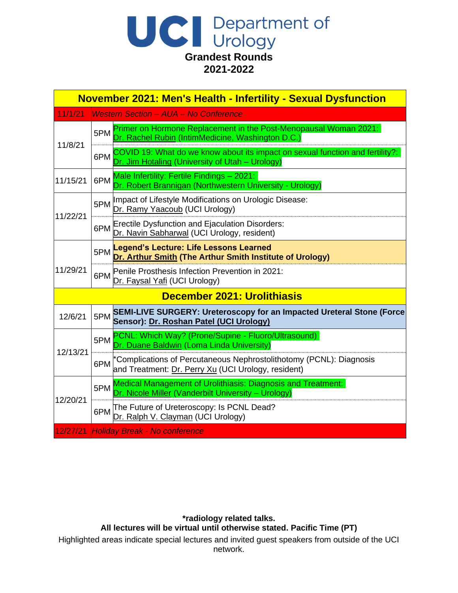# UC Department of **Grandest Rounds 2021-2022**

| <b>November 2021: Men's Health - Infertility - Sexual Dysfunction</b> |                                                                                                                         |                                                                                                                                  |  |
|-----------------------------------------------------------------------|-------------------------------------------------------------------------------------------------------------------------|----------------------------------------------------------------------------------------------------------------------------------|--|
| 11/1/21                                                               |                                                                                                                         | <b>Western Section - AUA - No Conference</b>                                                                                     |  |
| 11/8/21                                                               | 5PM                                                                                                                     | Primer on Hormone Replacement in the Post-Menopausal Woman 2021:<br>Rachel Rubin (IntimMedicine, Washington D.C.)                |  |
|                                                                       | 6PM                                                                                                                     | COVID 19: What do we know about its impact on sexual function and fertility?:<br>Dr. Jim Hotaling (University of Utah - Urology) |  |
| 11/15/21                                                              | 6PM                                                                                                                     | Male Infertility: Fertile Findings - 2021:<br>Dr. Robert Brannigan (Northwestern University - Urology)                           |  |
| 11/22/21                                                              | 5PM                                                                                                                     | Impact of Lifestyle Modifications on Urologic Disease:<br>Dr. Ramy Yaacoub (UCI Urology)                                         |  |
|                                                                       | 6PM                                                                                                                     | <b>Erectile Dysfunction and Ejaculation Disorders:</b><br>Dr. Navin Sabharwal (UCI Urology, resident)                            |  |
|                                                                       | 5PM                                                                                                                     | Legend's Lecture: Life Lessons Learned<br>Dr. Arthur Smith (The Arthur Smith Institute of Urology)                               |  |
| 11/29/21                                                              | 6PM                                                                                                                     | Penile Prosthesis Infection Prevention in 2021:<br>Dr. Faysal Yafi (UCI Urology)                                                 |  |
| December 2021: Urolithiasis                                           |                                                                                                                         |                                                                                                                                  |  |
| 12/6/21                                                               | SEMI-LIVE SURGERY: Ureteroscopy for an Impacted Ureteral Stone (Force<br>5PM<br>Sensor): Dr. Roshan Patel (UCI Urology) |                                                                                                                                  |  |
|                                                                       | 5PM                                                                                                                     | PCNL: Which Way? (Prone/Supine - Fluoro/Ultrasound)<br>Dr. Duane Baldwin (Loma Linda University)                                 |  |
| 12/13/21                                                              | 6PM                                                                                                                     | *Complications of Percutaneous Nephrostolithotomy (PCNL): Diagnosis<br>and Treatment: Dr. Perry Xu (UCI Urology, resident)       |  |
|                                                                       | 5PM                                                                                                                     | Medical Management of Urolithiasis: Diagnosis and Treatment:<br>Dr. Nicole Miller (Vanderbilt University - Urology)              |  |
| 12/20/21                                                              | 6PM                                                                                                                     | The Future of Ureteroscopy: Is PCNL Dead?<br>Dr. Ralph V. Clayman (UCI Urology)                                                  |  |
| 12/27/21                                                              |                                                                                                                         | <b>Holiday Break - No conference</b>                                                                                             |  |

#### **\*radiology related talks. All lectures will be virtual until otherwise stated. Pacific Time (PT)**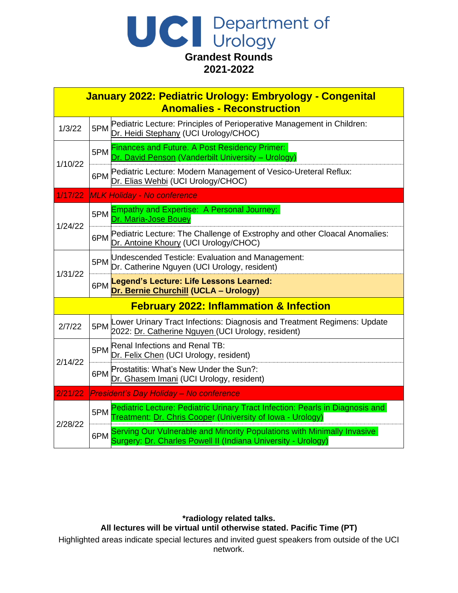| Department of                       |
|-------------------------------------|
| Urology                             |
| <b>Grandest Rounds</b><br>2021-2022 |

| January 2022: Pediatric Urology: Embryology - Congenital<br><b>Anomalies - Reconstruction</b> |                                    |                                                                                                                                             |  |
|-----------------------------------------------------------------------------------------------|------------------------------------|---------------------------------------------------------------------------------------------------------------------------------------------|--|
| 1/3/22                                                                                        | 5PM                                | Pediatric Lecture: Principles of Perioperative Management in Children:<br>Dr. Heidi Stephany (UCI Urology/CHOC)                             |  |
| 1/10/22                                                                                       | 5PM                                | <b>Finances and Future. A Post Residency Primer:</b><br>Dr. David Penson (Vanderbilt University - Urology)                                  |  |
|                                                                                               | 6PM                                | Pediatric Lecture: Modern Management of Vesico-Ureteral Reflux:<br>Dr. Elias Wehbi (UCI Urology/CHOC)                                       |  |
| 1/17/22                                                                                       | <b>MLK Holiday - No conference</b> |                                                                                                                                             |  |
|                                                                                               | 5PM                                | <b>Empathy and Expertise: A Personal Journey:</b><br>Dr. Maria-Jose Bouey                                                                   |  |
| 1/24/22                                                                                       | 6PM                                | Pediatric Lecture: The Challenge of Exstrophy and other Cloacal Anomalies:<br>Dr. Antoine Khoury (UCI Urology/CHOC)                         |  |
| 1/31/22                                                                                       | 5PM                                | Undescended Testicle: Evaluation and Management:<br>Dr. Catherine Nguyen (UCI Urology, resident)                                            |  |
|                                                                                               |                                    | 6PM Legend's Lecture: Life Lessons Learned:<br>Dr. Bernie Churchill (UCLA - Urology)                                                        |  |
| <b>February 2022: Inflammation &amp; Infection</b>                                            |                                    |                                                                                                                                             |  |
| 2/7/22                                                                                        | 5PM                                | Lower Urinary Tract Infections: Diagnosis and Treatment Regimens: Update<br>2022: Dr. Catherine Nguyen (UCI Urology, resident)              |  |
| 2/14/22                                                                                       | 5PM                                | Renal Infections and Renal TB:<br>Dr. Felix Chen (UCI Urology, resident)                                                                    |  |
|                                                                                               | 6PM                                | Prostatitis: What's New Under the Sun?:<br>Dr. Ghasem Imani (UCI Urology, resident)                                                         |  |
| 2/21/22                                                                                       |                                    | President's Day Holiday - No conference                                                                                                     |  |
| 2/28/22                                                                                       | 5PM                                | Pediatric Lecture: Pediatric Urinary Tract Infection: Pearls in Diagnosis and<br>Treatment: Dr. Chris Cooper (University of Iowa - Urology) |  |
|                                                                                               | 6PM                                | Serving Our Vulnerable and Minority Populations with Minimally Invasive<br>Surgery: Dr. Charles Powell II (Indiana University - Urology)    |  |

**\*radiology related talks. All lectures will be virtual until otherwise stated. Pacific Time (PT)**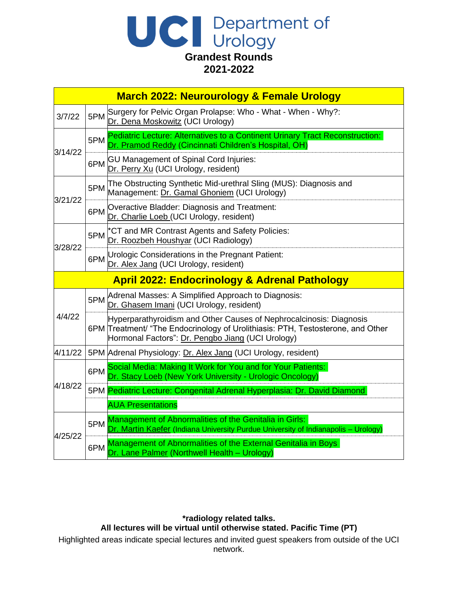|  | Department of                       |
|--|-------------------------------------|
|  | <b>Urology</b>                      |
|  | <b>Grandest Rounds</b><br>2021-2022 |

|         | <b>March 2022: Neurourology &amp; Female Urology</b>     |                                                                                                                                                                                                             |  |  |  |
|---------|----------------------------------------------------------|-------------------------------------------------------------------------------------------------------------------------------------------------------------------------------------------------------------|--|--|--|
| 3/7/22  | 5PM                                                      | Surgery for Pelvic Organ Prolapse: Who - What - When - Why?:<br>Dr. Dena Moskowitz (UCI Urology)                                                                                                            |  |  |  |
| 3/14/22 | 5PM                                                      | Pediatric Lecture: Alternatives to a Continent Urinary Tract Reconstruction:<br>Dr. Pramod Reddy (Cincinnati Children's Hospital, OH)                                                                       |  |  |  |
|         | 6PM                                                      | <b>GU Management of Spinal Cord Injuries:</b><br>Dr. Perry Xu (UCI Urology, resident)                                                                                                                       |  |  |  |
|         | 5PM                                                      | The Obstructing Synthetic Mid-urethral Sling (MUS): Diagnosis and<br>Management: Dr. Gamal Ghoniem (UCI Urology)                                                                                            |  |  |  |
| 3/21/22 | 6PM                                                      | Overactive Bladder: Diagnosis and Treatment:<br>Dr. Charlie Loeb (UCI Urology, resident)                                                                                                                    |  |  |  |
| 3/28/22 | 5PM                                                      | *CT and MR Contrast Agents and Safety Policies:<br>Dr. Roozbeh Houshyar (UCI Radiology)                                                                                                                     |  |  |  |
|         | 6PM                                                      | Urologic Considerations in the Pregnant Patient:<br>Dr. Alex Jang (UCI Urology, resident)                                                                                                                   |  |  |  |
|         | <b>April 2022: Endocrinology &amp; Adrenal Pathology</b> |                                                                                                                                                                                                             |  |  |  |
| 4/4/22  | 5PM                                                      | Adrenal Masses: A Simplified Approach to Diagnosis:<br>Dr. Ghasem Imani (UCI Urology, resident)                                                                                                             |  |  |  |
|         |                                                          | Hyperparathyroidism and Other Causes of Nephrocalcinosis: Diagnosis<br>6PM Treatment/ "The Endocrinology of Urolithiasis: PTH, Testosterone, and Other<br>Hormonal Factors": Dr. Pengbo Jiang (UCI Urology) |  |  |  |
| 4/11/22 |                                                          | 5PM Adrenal Physiology: Dr. Alex Jang (UCI Urology, resident)                                                                                                                                               |  |  |  |
|         | 6PM                                                      | Social Media: Making It Work for You and for Your Patients:<br>Dr. Stacy Loeb (New York University - Urologic Oncology)                                                                                     |  |  |  |
| 4/18/22 |                                                          | 5PM Pediatric Lecture: Congenital Adrenal Hyperplasia: Dr. David Diamond                                                                                                                                    |  |  |  |
|         |                                                          | <b>AUA Presentations</b>                                                                                                                                                                                    |  |  |  |
|         |                                                          | Management of Abnormalities of the Genitalia in Girls:                                                                                                                                                      |  |  |  |
| 4/25/22 | 5PM                                                      | Dr. Martin Kaefer (Indiana University Purdue University of Indianapolis - Urology)                                                                                                                          |  |  |  |

## **\*radiology related talks.**

**All lectures will be virtual until otherwise stated. Pacific Time (PT)** Highlighted areas indicate special lectures and invited guest speakers from outside of the UCI network.